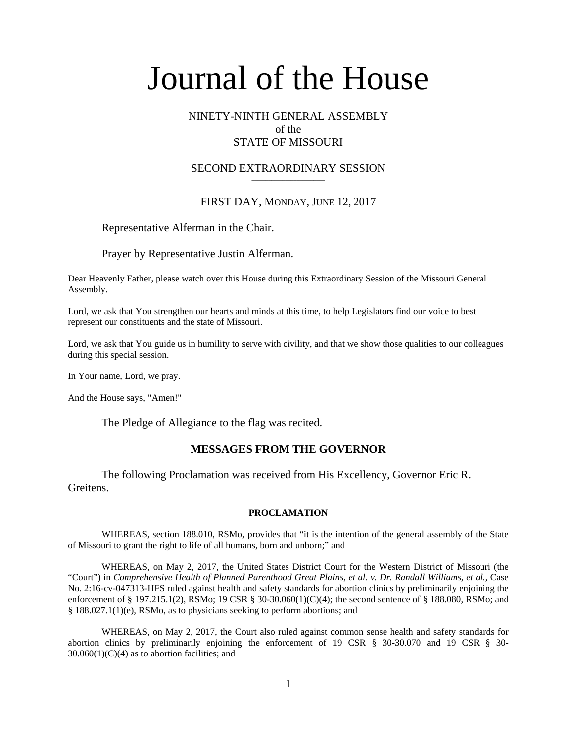# NINETY-NINTH GENERAL ASSEMBLY of the STATE OF MISSOURI

#### SECOND EXTRAORDINARY SESSION **\_\_\_\_\_\_\_\_\_\_\_\_\_\_\_\_\_\_\_\_\_\_\_\_\_\_**

# FIRST DAY, MONDAY, JUNE 12, 2017

## Representative Alferman in the Chair.

Prayer by Representative Justin Alferman.

Dear Heavenly Father, please watch over this House during this Extraordinary Session of the Missouri General Assembly.

Lord, we ask that You strengthen our hearts and minds at this time, to help Legislators find our voice to best represent our constituents and the state of Missouri.

Lord, we ask that You guide us in humility to serve with civility, and that we show those qualities to our colleagues during this special session.

In Your name, Lord, we pray.

And the House says, "Amen!"

The Pledge of Allegiance to the flag was recited.

#### **MESSAGES FROM THE GOVERNOR**

 The following Proclamation was received from His Excellency, Governor Eric R. Greitens.

#### **PROCLAMATION**

WHEREAS, section 188.010, RSMo, provides that "it is the intention of the general assembly of the State of Missouri to grant the right to life of all humans, born and unborn;" and

WHEREAS, on May 2, 2017, the United States District Court for the Western District of Missouri (the "Court") in *Comprehensive Health of Planned Parenthood Great Plains, et al. v. Dr. Randall Williams, et al.*, Case No. 2:16-cv-047313-HFS ruled against health and safety standards for abortion clinics by preliminarily enjoining the enforcement of § 197.215.1(2), RSMo; 19 CSR § 30-30.060(1)(C)(4); the second sentence of § 188.080, RSMo; and § 188.027.1(1)(e), RSMo, as to physicians seeking to perform abortions; and

 WHEREAS, on May 2, 2017, the Court also ruled against common sense health and safety standards for abortion clinics by preliminarily enjoining the enforcement of 19 CSR § 30-30.070 and 19 CSR § 30-  $30.060(1)(C)(4)$  as to abortion facilities; and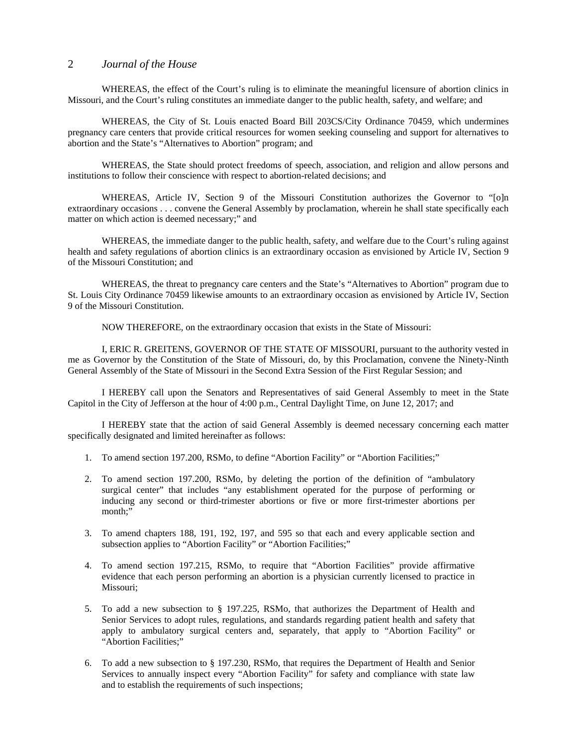WHEREAS, the effect of the Court's ruling is to eliminate the meaningful licensure of abortion clinics in Missouri, and the Court's ruling constitutes an immediate danger to the public health, safety, and welfare; and

WHEREAS, the City of St. Louis enacted Board Bill 203CS/City Ordinance 70459, which undermines pregnancy care centers that provide critical resources for women seeking counseling and support for alternatives to abortion and the State's "Alternatives to Abortion" program; and

WHEREAS, the State should protect freedoms of speech, association, and religion and allow persons and institutions to follow their conscience with respect to abortion-related decisions; and

 WHEREAS, Article IV, Section 9 of the Missouri Constitution authorizes the Governor to "[o]n extraordinary occasions . . . convene the General Assembly by proclamation, wherein he shall state specifically each matter on which action is deemed necessary;" and

WHEREAS, the immediate danger to the public health, safety, and welfare due to the Court's ruling against health and safety regulations of abortion clinics is an extraordinary occasion as envisioned by Article IV, Section 9 of the Missouri Constitution; and

WHEREAS, the threat to pregnancy care centers and the State's "Alternatives to Abortion" program due to St. Louis City Ordinance 70459 likewise amounts to an extraordinary occasion as envisioned by Article IV, Section 9 of the Missouri Constitution.

NOW THEREFORE, on the extraordinary occasion that exists in the State of Missouri:

I, ERIC R. GREITENS, GOVERNOR OF THE STATE OF MISSOURI, pursuant to the authority vested in me as Governor by the Constitution of the State of Missouri, do, by this Proclamation, convene the Ninety-Ninth General Assembly of the State of Missouri in the Second Extra Session of the First Regular Session; and

 I HEREBY call upon the Senators and Representatives of said General Assembly to meet in the State Capitol in the City of Jefferson at the hour of 4:00 p.m., Central Daylight Time, on June 12, 2017; and

 I HEREBY state that the action of said General Assembly is deemed necessary concerning each matter specifically designated and limited hereinafter as follows:

- 1. To amend section 197.200, RSMo, to define "Abortion Facility" or "Abortion Facilities;"
- 2. To amend section 197.200, RSMo, by deleting the portion of the definition of "ambulatory surgical center" that includes "any establishment operated for the purpose of performing or inducing any second or third-trimester abortions or five or more first-trimester abortions per month;"
- 3. To amend chapters 188, 191, 192, 197, and 595 so that each and every applicable section and subsection applies to "Abortion Facility" or "Abortion Facilities;"
- 4. To amend section 197.215, RSMo, to require that "Abortion Facilities" provide affirmative evidence that each person performing an abortion is a physician currently licensed to practice in Missouri;
- 5. To add a new subsection to § 197.225, RSMo, that authorizes the Department of Health and Senior Services to adopt rules, regulations, and standards regarding patient health and safety that apply to ambulatory surgical centers and, separately, that apply to "Abortion Facility" or "Abortion Facilities;"
- 6. To add a new subsection to § 197.230, RSMo, that requires the Department of Health and Senior Services to annually inspect every "Abortion Facility" for safety and compliance with state law and to establish the requirements of such inspections;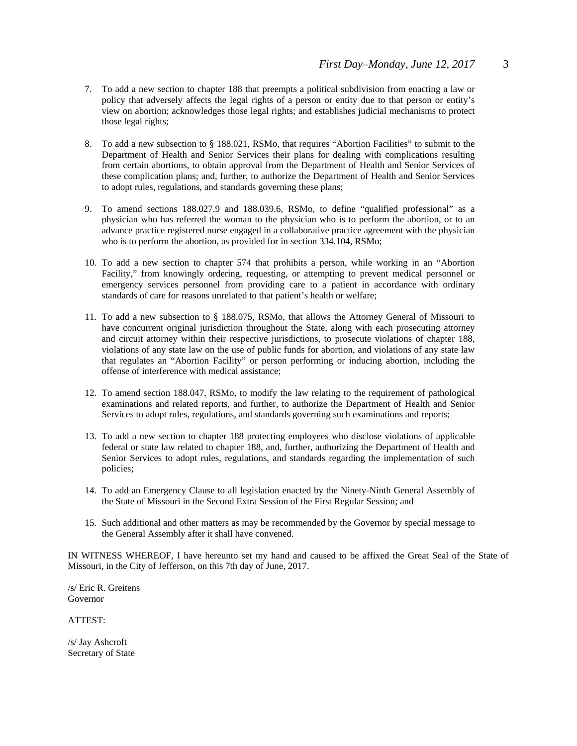- 7. To add a new section to chapter 188 that preempts a political subdivision from enacting a law or policy that adversely affects the legal rights of a person or entity due to that person or entity's view on abortion; acknowledges those legal rights; and establishes judicial mechanisms to protect those legal rights;
- 8. To add a new subsection to § 188.021, RSMo, that requires "Abortion Facilities" to submit to the Department of Health and Senior Services their plans for dealing with complications resulting from certain abortions, to obtain approval from the Department of Health and Senior Services of these complication plans; and, further, to authorize the Department of Health and Senior Services to adopt rules, regulations, and standards governing these plans;
- 9. To amend sections 188.027.9 and 188.039.6, RSMo, to define "qualified professional" as a physician who has referred the woman to the physician who is to perform the abortion, or to an advance practice registered nurse engaged in a collaborative practice agreement with the physician who is to perform the abortion, as provided for in section 334.104, RSMo;
- 10. To add a new section to chapter 574 that prohibits a person, while working in an "Abortion Facility," from knowingly ordering, requesting, or attempting to prevent medical personnel or emergency services personnel from providing care to a patient in accordance with ordinary standards of care for reasons unrelated to that patient's health or welfare;
- 11. To add a new subsection to § 188.075, RSMo, that allows the Attorney General of Missouri to have concurrent original jurisdiction throughout the State, along with each prosecuting attorney and circuit attorney within their respective jurisdictions, to prosecute violations of chapter 188, violations of any state law on the use of public funds for abortion, and violations of any state law that regulates an "Abortion Facility" or person performing or inducing abortion, including the offense of interference with medical assistance;
- 12. To amend section 188.047, RSMo, to modify the law relating to the requirement of pathological examinations and related reports, and further, to authorize the Department of Health and Senior Services to adopt rules, regulations, and standards governing such examinations and reports;
- 13. To add a new section to chapter 188 protecting employees who disclose violations of applicable federal or state law related to chapter 188, and, further, authorizing the Department of Health and Senior Services to adopt rules, regulations, and standards regarding the implementation of such policies;
- 14. To add an Emergency Clause to all legislation enacted by the Ninety-Ninth General Assembly of the State of Missouri in the Second Extra Session of the First Regular Session; and
- 15. Such additional and other matters as may be recommended by the Governor by special message to the General Assembly after it shall have convened.

IN WITNESS WHEREOF, I have hereunto set my hand and caused to be affixed the Great Seal of the State of Missouri, in the City of Jefferson, on this 7th day of June, 2017.

/s/ Eric R. Greitens Governor

ATTEST:

/s/ Jay Ashcroft Secretary of State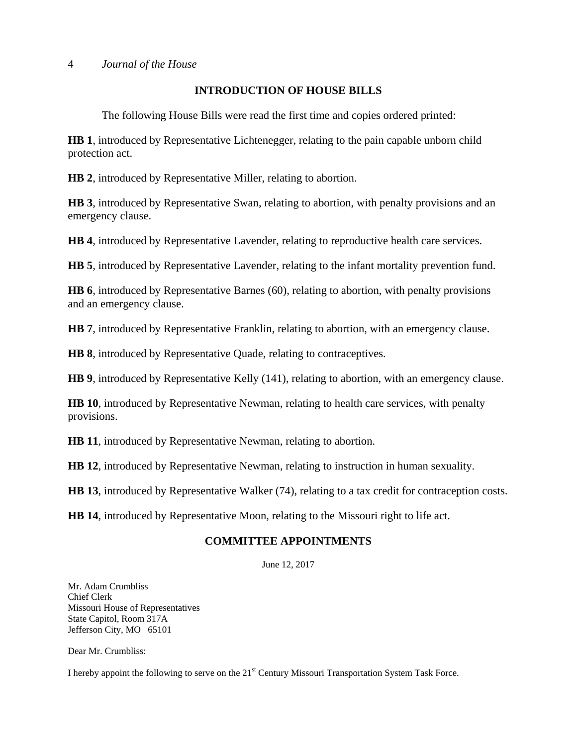# **INTRODUCTION OF HOUSE BILLS**

The following House Bills were read the first time and copies ordered printed:

**HB 1**, introduced by Representative Lichtenegger, relating to the pain capable unborn child protection act.

**HB 2**, introduced by Representative Miller, relating to abortion.

**HB 3**, introduced by Representative Swan, relating to abortion, with penalty provisions and an emergency clause.

**HB 4**, introduced by Representative Lavender, relating to reproductive health care services.

**HB 5**, introduced by Representative Lavender, relating to the infant mortality prevention fund.

**HB 6**, introduced by Representative Barnes (60), relating to abortion, with penalty provisions and an emergency clause.

**HB 7**, introduced by Representative Franklin, relating to abortion, with an emergency clause.

**HB 8**, introduced by Representative Quade, relating to contraceptives.

**HB 9**, introduced by Representative Kelly (141), relating to abortion, with an emergency clause.

**HB 10**, introduced by Representative Newman, relating to health care services, with penalty provisions.

**HB 11**, introduced by Representative Newman, relating to abortion.

**HB 12**, introduced by Representative Newman, relating to instruction in human sexuality.

**HB 13**, introduced by Representative Walker (74), relating to a tax credit for contraception costs.

**HB 14**, introduced by Representative Moon, relating to the Missouri right to life act.

# **COMMITTEE APPOINTMENTS**

June 12, 2017

Mr. Adam Crumbliss Chief Clerk Missouri House of Representatives State Capitol, Room 317A Jefferson City, MO 65101

Dear Mr. Crumbliss:

I hereby appoint the following to serve on the  $21<sup>st</sup>$  Century Missouri Transportation System Task Force.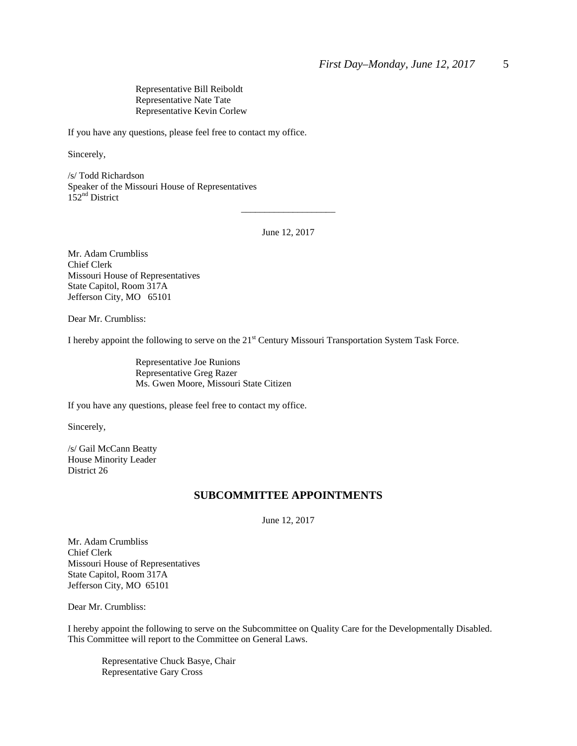Representative Bill Reiboldt Representative Nate Tate Representative Kevin Corlew

If you have any questions, please feel free to contact my office.

Sincerely,

/s/ Todd Richardson Speaker of the Missouri House of Representatives 152<sup>nd</sup> District

June 12, 2017

\_\_\_\_\_\_\_\_\_\_\_\_\_\_\_\_\_\_\_\_

Mr. Adam Crumbliss Chief Clerk Missouri House of Representatives State Capitol, Room 317A Jefferson City, MO 65101

Dear Mr. Crumbliss:

I hereby appoint the following to serve on the 21<sup>st</sup> Century Missouri Transportation System Task Force.

 Representative Joe Runions Representative Greg Razer Ms. Gwen Moore, Missouri State Citizen

If you have any questions, please feel free to contact my office.

Sincerely,

/s/ Gail McCann Beatty House Minority Leader District 26

#### **SUBCOMMITTEE APPOINTMENTS**

June 12, 2017

Mr. Adam Crumbliss Chief Clerk Missouri House of Representatives State Capitol, Room 317A Jefferson City, MO 65101

Dear Mr. Crumbliss:

I hereby appoint the following to serve on the Subcommittee on Quality Care for the Developmentally Disabled. This Committee will report to the Committee on General Laws.

 Representative Chuck Basye, Chair Representative Gary Cross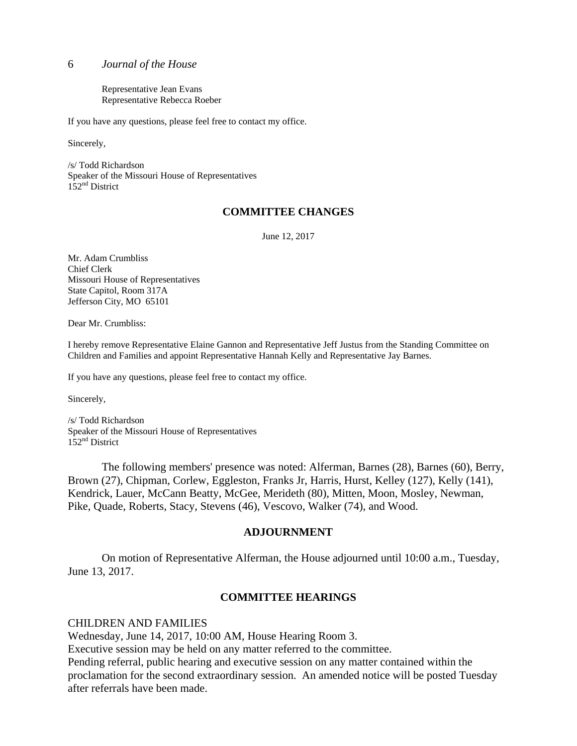Representative Jean Evans Representative Rebecca Roeber

If you have any questions, please feel free to contact my office.

Sincerely,

/s/ Todd Richardson Speaker of the Missouri House of Representatives 152<sup>nd</sup> District

## **COMMITTEE CHANGES**

June 12, 2017

Mr. Adam Crumbliss Chief Clerk Missouri House of Representatives State Capitol, Room 317A Jefferson City, MO 65101

Dear Mr. Crumbliss:

I hereby remove Representative Elaine Gannon and Representative Jeff Justus from the Standing Committee on Children and Families and appoint Representative Hannah Kelly and Representative Jay Barnes.

If you have any questions, please feel free to contact my office.

Sincerely,

/s/ Todd Richardson Speaker of the Missouri House of Representatives 152<sup>nd</sup> District

 The following members' presence was noted: Alferman, Barnes (28), Barnes (60), Berry, Brown (27), Chipman, Corlew, Eggleston, Franks Jr, Harris, Hurst, Kelley (127), Kelly (141), Kendrick, Lauer, McCann Beatty, McGee, Merideth (80), Mitten, Moon, Mosley, Newman, Pike, Quade, Roberts, Stacy, Stevens (46), Vescovo, Walker (74), and Wood.

#### **ADJOURNMENT**

 On motion of Representative Alferman, the House adjourned until 10:00 a.m., Tuesday, June 13, 2017.

## **COMMITTEE HEARINGS**

CHILDREN AND FAMILIES

Wednesday, June 14, 2017, 10:00 AM, House Hearing Room 3.

Executive session may be held on any matter referred to the committee.

Pending referral, public hearing and executive session on any matter contained within the proclamation for the second extraordinary session. An amended notice will be posted Tuesday after referrals have been made.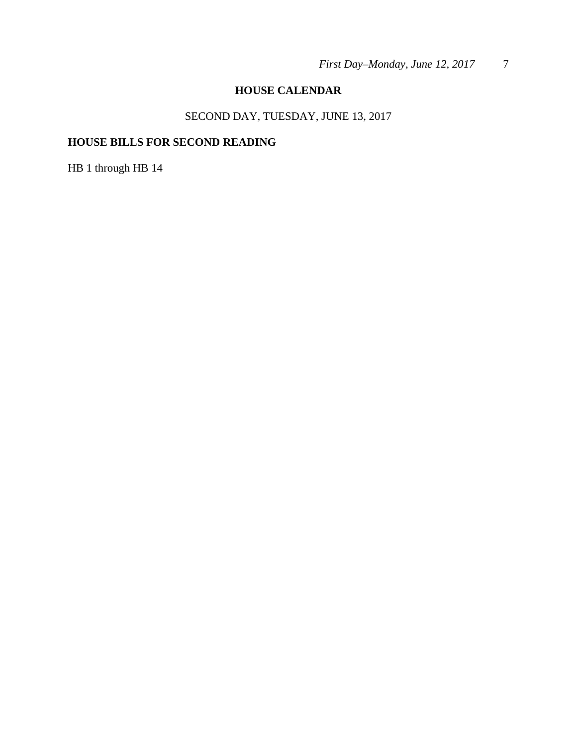# **HOUSE CALENDAR**

# SECOND DAY, TUESDAY, JUNE 13, 2017

# **HOUSE BILLS FOR SECOND READING**

HB 1 through HB 14